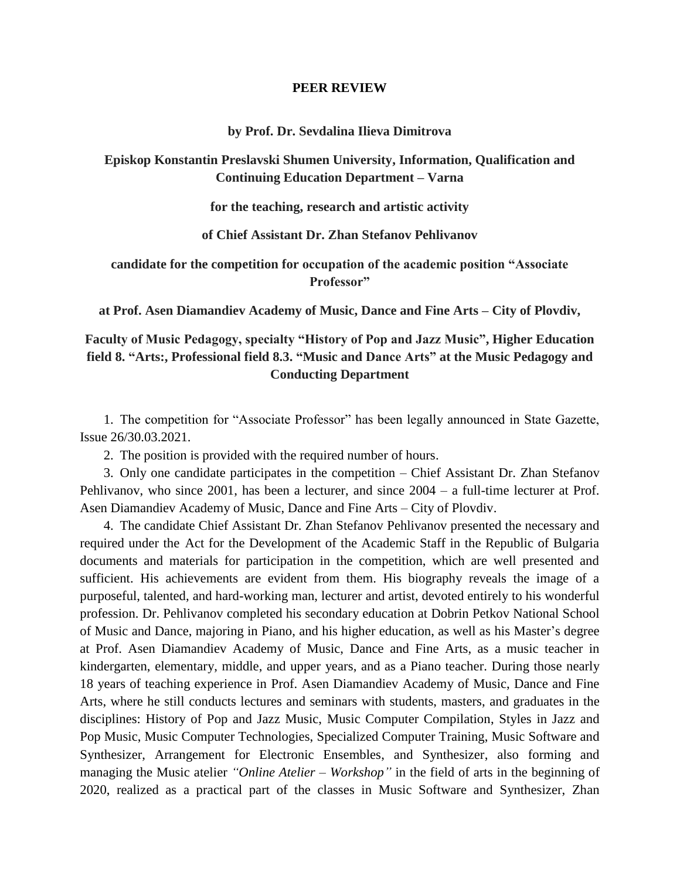#### **PEER REVIEW**

#### **by Prof. Dr. Sevdalina Ilieva Dimitrova**

## **Episkop Konstantin Preslavski Shumen University, Information, Qualification and Continuing Education Department – Varna**

**for the teaching, research and artistic activity**

**of Chief Assistant Dr. Zhan Stefanov Pehlivanov**

**candidate for the competition for occupation of the academic position "Associate Professor"**

**at Prof. Asen Diamandiev Academy of Music, Dance and Fine Arts – City of Plovdiv,**

# **Faculty of Music Pedagogy, specialty "History of Pop and Jazz Music", Higher Education field 8. "Arts:, Professional field 8.3. "Music and Dance Arts" at the Music Pedagogy and Conducting Department**

1. The competition for "Associate Professor" has been legally announced in State Gazette, Issue 26/30.03.2021.

2. The position is provided with the required number of hours.

3. Only one candidate participates in the competition – Chief Assistant Dr. Zhan Stefanov Pehlivanov, who since 2001, has been a lecturer, and since 2004 – a full-time lecturer at Prof. Asen Diamandiev Academy of Music, Dance and Fine Arts – City of Plovdiv.

4. The candidate Chief Assistant Dr. Zhan Stefanov Pehlivanov presented the necessary and required under the Act for the Development of the Academic Staff in the Republic of Bulgaria documents and materials for participation in the competition, which are well presented and sufficient. His achievements are evident from them. His biography reveals the image of a purposeful, talented, and hard-working man, lecturer and artist, devoted entirely to his wonderful profession. Dr. Pehlivanov completed his secondary education at Dobrin Petkov National School of Music and Dance, majoring in Piano, and his higher education, as well as his Master's degree at Prof. Asen Diamandiev Academy of Music, Dance and Fine Arts, as a music teacher in kindergarten, elementary, middle, and upper years, and as a Piano teacher. During those nearly 18 years of teaching experience in Prof. Asen Diamandiev Academy of Music, Dance and Fine Arts, where he still conducts lectures and seminars with students, masters, and graduates in the disciplines: History of Pop and Jazz Music, Music Computer Compilation, Styles in Jazz and Pop Music, Music Computer Technologies, Specialized Computer Training, Music Software and Synthesizer, Arrangement for Electronic Ensembles, and Synthesizer, also forming and managing the Music atelier *"Online Atelier – Workshop"* in the field of arts in the beginning of 2020, realized as a practical part of the classes in Music Software and Synthesizer, Zhan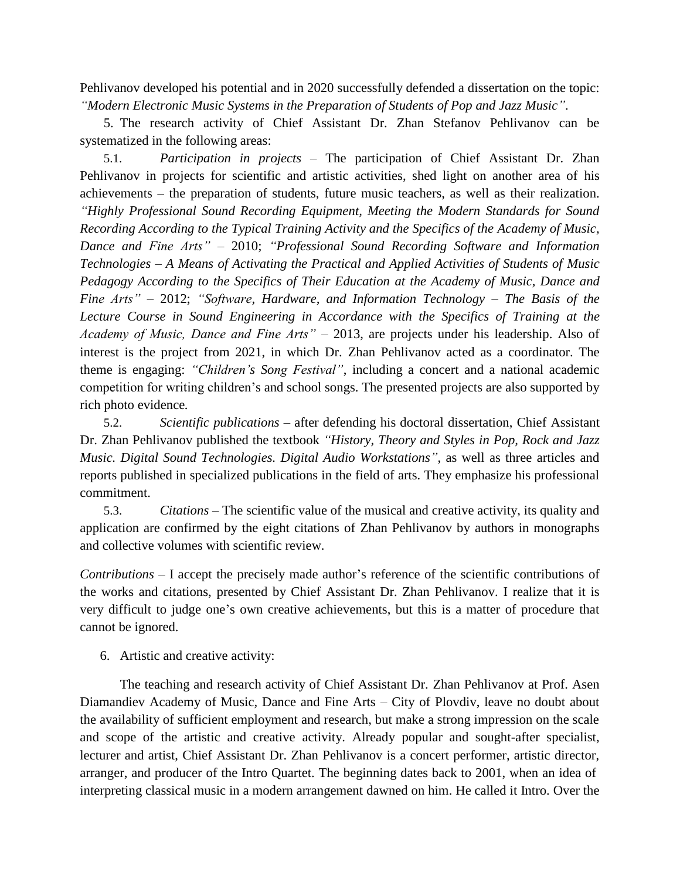Pehlivanov developed his potential and in 2020 successfully defended a dissertation on the topic: *"Modern Electronic Music Systems in the Preparation of Students of Pop and Jazz Music"*.

5. The research activity of Chief Assistant Dr. Zhan Stefanov Pehlivanov can be systematized in the following areas:

5.1. *Participation in projects –* The participation of Chief Assistant Dr. Zhan Pehlivanov in projects for scientific and artistic activities, shed light on another area of his achievements – the preparation of students, future music teachers, as well as their realization. *"Highly Professional Sound Recording Equipment, Meeting the Modern Standards for Sound Recording According to the Typical Training Activity and the Specifics of the Academy of Music, Dance and Fine Arts"* – 2010; *"Professional Sound Recording Software and Information Technologies – A Means of Activating the Practical and Applied Activities of Students of Music Pedagogy According to the Specifics of Their Education at the Academy of Music, Dance and Fine Arts"* – 2012; *"Software, Hardware, and Information Technology – The Basis of the Lecture Course in Sound Engineering in Accordance with the Specifics of Training at the Academy of Music, Dance and Fine Arts"* – 2013, are projects under his leadership. Also of interest is the project from 2021, in which Dr. Zhan Pehlivanov acted as a coordinator. The theme is engaging: *"Children's Song Festival"*, including a concert and a national academic competition for writing children's and school songs. The presented projects are also supported by rich photo evidence*.*

5.2. *Scientific publications* – after defending his doctoral dissertation, Chief Assistant Dr. Zhan Pehlivanov published the textbook *"History, Theory and Styles in Pop, Rock and Jazz Music. Digital Sound Technologies. Digital Audio Workstations"*, as well as three articles and reports published in specialized publications in the field of arts. They emphasize his professional commitment.

5.3. *Citations –* The scientific value of the musical and creative activity, its quality and application are confirmed by the eight citations of Zhan Pehlivanov by authors in monographs and collective volumes with scientific review*.*

*Contributions –* I accept the precisely made author's reference of the scientific contributions of the works and citations, presented by Chief Assistant Dr. Zhan Pehlivanov. I realize that it is very difficult to judge one's own creative achievements, but this is a matter of procedure that cannot be ignored.

6. Artistic and creative activity:

The teaching and research activity of Chief Assistant Dr. Zhan Pehlivanov at Prof. Asen Diamandiev Academy of Music, Dance and Fine Arts – City of Plovdiv, leave no doubt about the availability of sufficient employment and research, but make a strong impression on the scale and scope of the artistic and creative activity. Already popular and sought-after specialist, lecturer and artist, Chief Assistant Dr. Zhan Pehlivanov is a concert performer, artistic director, arranger, and producer of the Intro Quartet. The beginning dates back to 2001, when an idea of interpreting classical music in a modern arrangement dawned on him. He called it Intro. Over the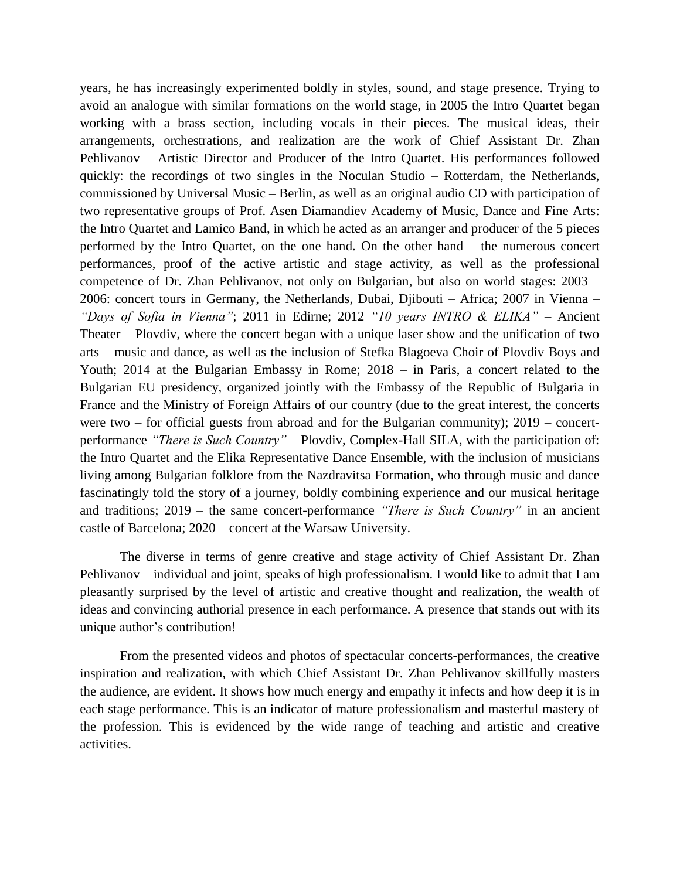years, he has increasingly experimented boldly in styles, sound, and stage presence. Trying to avoid an analogue with similar formations on the world stage, in 2005 the Intro Quartet began working with a brass section, including vocals in their pieces. The musical ideas, their arrangements, orchestrations, and realization are the work of Chief Assistant Dr. Zhan Pehlivanov – Artistic Director and Producer of the Intro Quartet. His performances followed quickly: the recordings of two singles in the Noculan Studio – Rotterdam, the Netherlands, commissioned by Universal Music – Berlin, as well as an original audio CD with participation of two representative groups of Prof. Asen Diamandiev Academy of Music, Dance and Fine Arts: the Intro Quartet and Lamico Band, in which he acted as an arranger and producer of the 5 pieces performed by the Intro Quartet, on the one hand. On the other hand – the numerous concert performances, proof of the active artistic and stage activity, as well as the professional competence of Dr. Zhan Pehlivanov, not only on Bulgarian, but also on world stages: 2003 – 2006: concert tours in Germany, the Netherlands, Dubai, Djibouti – Africa; 2007 in Vienna – *"Days of Sofia in Vienna"*; 2011 in Edirne; 2012 *"10 years INTRO & ELIKA"* – Ancient Theater – Plovdiv, where the concert began with a unique laser show and the unification of two arts – music and dance, as well as the inclusion of Stefka Blagoeva Choir of Plovdiv Boys and Youth; 2014 at the Bulgarian Embassy in Rome; 2018 – in Paris, a concert related to the Bulgarian EU presidency, organized jointly with the Embassy of the Republic of Bulgaria in France and the Ministry of Foreign Affairs of our country (due to the great interest, the concerts were two – for official guests from abroad and for the Bulgarian community); 2019 – concertperformance *"There is Such Country"* – Plovdiv, Complex-Hall SILA, with the participation of: the Intro Quartet and the Elika Representative Dance Ensemble, with the inclusion of musicians living among Bulgarian folklore from the Nazdravitsa Formation, who through music and dance fascinatingly told the story of a journey, boldly combining experience and our musical heritage and traditions; 2019 – the same concert-performance *"There is Such Country"* in an ancient castle of Barcelona; 2020 – concert at the Warsaw University.

The diverse in terms of genre creative and stage activity of Chief Assistant Dr. Zhan Pehlivanov – individual and joint, speaks of high professionalism. I would like to admit that I am pleasantly surprised by the level of artistic and creative thought and realization, the wealth of ideas and convincing authorial presence in each performance. A presence that stands out with its unique author's contribution!

From the presented videos and photos of spectacular concerts-performances, the creative inspiration and realization, with which Chief Assistant Dr. Zhan Pehlivanov skillfully masters the audience, are evident. It shows how much energy and empathy it infects and how deep it is in each stage performance. This is an indicator of mature professionalism and masterful mastery of the profession. This is evidenced by the wide range of teaching and artistic and creative activities.